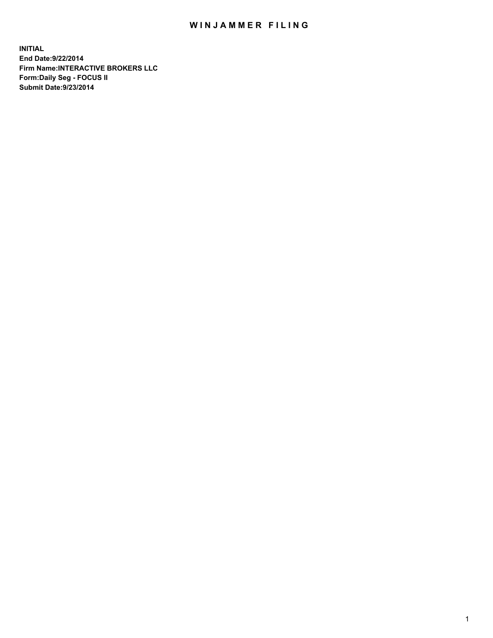## WIN JAMMER FILING

**INITIAL End Date:9/22/2014 Firm Name:INTERACTIVE BROKERS LLC Form:Daily Seg - FOCUS II Submit Date:9/23/2014**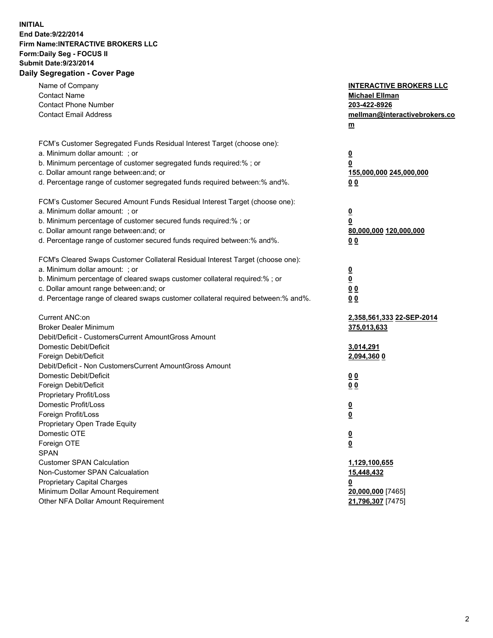## **INITIAL End Date:9/22/2014 Firm Name:INTERACTIVE BROKERS LLC Form:Daily Seg - FOCUS II Submit Date:9/23/2014 Daily Segregation - Cover Page**

| Name of Company<br><b>Contact Name</b><br><b>Contact Phone Number</b><br><b>Contact Email Address</b>    | <b>INTERACTIVE BROKERS LLC</b><br><b>Michael Ellman</b><br>203-422-8926<br>mellman@interactivebrokers.co<br>$m$ |
|----------------------------------------------------------------------------------------------------------|-----------------------------------------------------------------------------------------------------------------|
| FCM's Customer Segregated Funds Residual Interest Target (choose one):<br>a. Minimum dollar amount: ; or | $\overline{\mathbf{0}}$                                                                                         |
| b. Minimum percentage of customer segregated funds required:% ; or                                       | 0                                                                                                               |
| c. Dollar amount range between: and; or                                                                  | 155,000,000 245,000,000                                                                                         |
| d. Percentage range of customer segregated funds required between:% and%.                                | 0 <sub>0</sub>                                                                                                  |
| FCM's Customer Secured Amount Funds Residual Interest Target (choose one):                               |                                                                                                                 |
| a. Minimum dollar amount: ; or                                                                           | $\overline{\mathbf{0}}$                                                                                         |
| b. Minimum percentage of customer secured funds required:% ; or                                          | 0                                                                                                               |
| c. Dollar amount range between: and; or                                                                  | 80,000,000 120,000,000                                                                                          |
| d. Percentage range of customer secured funds required between:% and%.                                   | 0 <sub>0</sub>                                                                                                  |
| FCM's Cleared Swaps Customer Collateral Residual Interest Target (choose one):                           |                                                                                                                 |
| a. Minimum dollar amount: ; or                                                                           | $\overline{\mathbf{0}}$                                                                                         |
| b. Minimum percentage of cleared swaps customer collateral required:% ; or                               | $\overline{\mathbf{0}}$                                                                                         |
| c. Dollar amount range between: and; or                                                                  | 0 <sub>0</sub>                                                                                                  |
| d. Percentage range of cleared swaps customer collateral required between:% and%.                        | 0 <sub>0</sub>                                                                                                  |
| Current ANC:on                                                                                           | 2,358,561,333 22-SEP-2014                                                                                       |
| <b>Broker Dealer Minimum</b>                                                                             | 375,013,633                                                                                                     |
| Debit/Deficit - CustomersCurrent AmountGross Amount                                                      |                                                                                                                 |
| Domestic Debit/Deficit                                                                                   | 3,014,291                                                                                                       |
| Foreign Debit/Deficit                                                                                    | 2,094,360 0                                                                                                     |
| Debit/Deficit - Non CustomersCurrent AmountGross Amount                                                  |                                                                                                                 |
| Domestic Debit/Deficit<br>Foreign Debit/Deficit                                                          | 0 <sub>0</sub><br>0 <sub>0</sub>                                                                                |
| Proprietary Profit/Loss                                                                                  |                                                                                                                 |
| Domestic Profit/Loss                                                                                     | $\overline{\mathbf{0}}$                                                                                         |
| Foreign Profit/Loss                                                                                      | $\underline{\mathbf{0}}$                                                                                        |
| Proprietary Open Trade Equity                                                                            |                                                                                                                 |
| Domestic OTE                                                                                             | <u>0</u>                                                                                                        |
| Foreign OTE                                                                                              | <u>0</u>                                                                                                        |
| <b>SPAN</b>                                                                                              |                                                                                                                 |
| <b>Customer SPAN Calculation</b>                                                                         | 1,129,100,655                                                                                                   |
| Non-Customer SPAN Calcualation                                                                           | 15,448,432                                                                                                      |
| Proprietary Capital Charges                                                                              | <u>0</u>                                                                                                        |
| Minimum Dollar Amount Requirement                                                                        | 20,000,000 [7465]                                                                                               |
| Other NFA Dollar Amount Requirement                                                                      | 21,796,307 [7475]                                                                                               |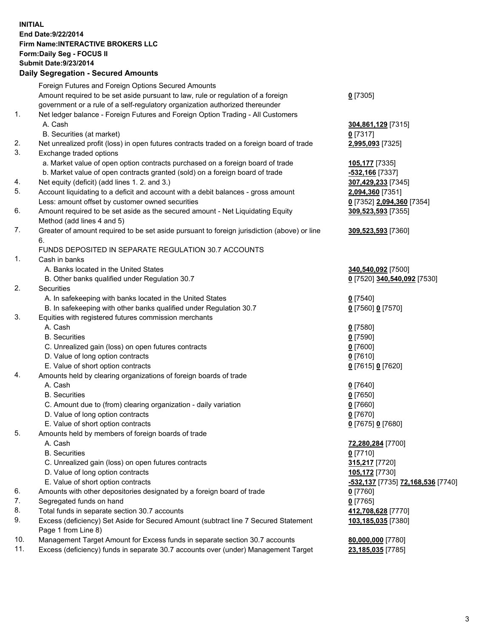## **INITIAL End Date:9/22/2014 Firm Name:INTERACTIVE BROKERS LLC Form:Daily Seg - FOCUS II Submit Date:9/23/2014 Daily Segregation - Secured Amounts**

|     | Daily Ocglegation - Occarea Anioants                                                                       |                                                       |
|-----|------------------------------------------------------------------------------------------------------------|-------------------------------------------------------|
|     | Foreign Futures and Foreign Options Secured Amounts                                                        |                                                       |
|     | Amount required to be set aside pursuant to law, rule or regulation of a foreign                           | $0$ [7305]                                            |
|     | government or a rule of a self-regulatory organization authorized thereunder                               |                                                       |
| 1.  | Net ledger balance - Foreign Futures and Foreign Option Trading - All Customers                            |                                                       |
|     | A. Cash                                                                                                    | 304,861,129 [7315]                                    |
|     | B. Securities (at market)                                                                                  | $0$ [7317]                                            |
| 2.  | Net unrealized profit (loss) in open futures contracts traded on a foreign board of trade                  | 2,995,093 [7325]                                      |
| 3.  | Exchange traded options                                                                                    |                                                       |
|     | a. Market value of open option contracts purchased on a foreign board of trade                             | 105,177 [7335]                                        |
|     | b. Market value of open contracts granted (sold) on a foreign board of trade                               | -532,166 [7337]                                       |
| 4.  | Net equity (deficit) (add lines 1.2. and 3.)                                                               | 307,429,233 [7345]                                    |
| 5.  | Account liquidating to a deficit and account with a debit balances - gross amount                          | 2,094,360 [7351]                                      |
|     | Less: amount offset by customer owned securities                                                           | 0 [7352] 2,094,360 [7354]                             |
| 6.  | Amount required to be set aside as the secured amount - Net Liquidating Equity                             | 309,523,593 [7355]                                    |
|     | Method (add lines 4 and 5)                                                                                 |                                                       |
| 7.  | Greater of amount required to be set aside pursuant to foreign jurisdiction (above) or line                | 309,523,593 [7360]                                    |
|     | 6.                                                                                                         |                                                       |
|     | FUNDS DEPOSITED IN SEPARATE REGULATION 30.7 ACCOUNTS                                                       |                                                       |
| 1.  | Cash in banks                                                                                              |                                                       |
|     | A. Banks located in the United States                                                                      | 340,540,092 [7500]                                    |
|     | B. Other banks qualified under Regulation 30.7                                                             | 0 [7520] 340,540,092 [7530]                           |
| 2.  | Securities                                                                                                 |                                                       |
|     | A. In safekeeping with banks located in the United States                                                  | $0$ [7540]                                            |
|     | B. In safekeeping with other banks qualified under Regulation 30.7                                         | 0 [7560] 0 [7570]                                     |
| 3.  | Equities with registered futures commission merchants                                                      |                                                       |
|     | A. Cash                                                                                                    | $0$ [7580]                                            |
|     | <b>B.</b> Securities                                                                                       | $0$ [7590]                                            |
|     | C. Unrealized gain (loss) on open futures contracts                                                        | $0$ [7600]                                            |
|     | D. Value of long option contracts                                                                          | $0$ [7610]                                            |
|     | E. Value of short option contracts                                                                         | 0 [7615] 0 [7620]                                     |
| 4.  | Amounts held by clearing organizations of foreign boards of trade                                          |                                                       |
|     | A. Cash                                                                                                    | $0$ [7640]                                            |
|     | <b>B.</b> Securities                                                                                       | $0$ [7650]                                            |
|     | C. Amount due to (from) clearing organization - daily variation                                            | $0$ [7660]                                            |
|     | D. Value of long option contracts                                                                          | $0$ [7670]                                            |
|     | E. Value of short option contracts                                                                         | 0 [7675] 0 [7680]                                     |
| 5.  | Amounts held by members of foreign boards of trade                                                         |                                                       |
|     | A. Cash                                                                                                    | 72,280,284 [7700]                                     |
|     | <b>B.</b> Securities                                                                                       | $0$ [7710]                                            |
|     | C. Unrealized gain (loss) on open futures contracts                                                        | 315,217 [7720]                                        |
|     | D. Value of long option contracts                                                                          | 105,172 [7730]                                        |
|     | E. Value of short option contracts                                                                         | <mark>-532,137</mark> [7735] <b>72,168,536</b> [7740] |
| 6.  | Amounts with other depositories designated by a foreign board of trade                                     | $0$ [7760]                                            |
| 7.  | Segregated funds on hand                                                                                   | $0$ [7765]                                            |
| 8.  | Total funds in separate section 30.7 accounts                                                              | 412,708,628 [7770]                                    |
| 9.  | Excess (deficiency) Set Aside for Secured Amount (subtract line 7 Secured Statement<br>Page 1 from Line 8) | 103,185,035 [7380]                                    |
| 10. | Management Target Amount for Excess funds in separate section 30.7 accounts                                | 80,000,000 [7780]                                     |
| 11. | Excess (deficiency) funds in separate 30.7 accounts over (under) Management Target                         | 23,185,035 [7785]                                     |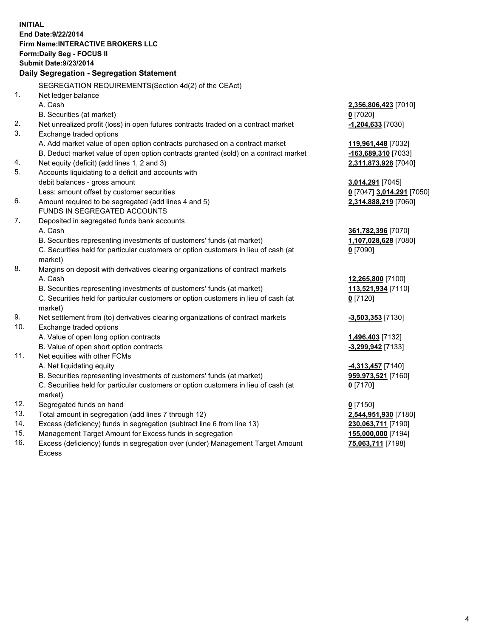**INITIAL End Date:9/22/2014 Firm Name:INTERACTIVE BROKERS LLC Form:Daily Seg - FOCUS II Submit Date:9/23/2014 Daily Segregation - Segregation Statement** SEGREGATION REQUIREMENTS(Section 4d(2) of the CEAct) 1. Net ledger balance A. Cash **2,356,806,423** [7010] B. Securities (at market) **0** [7020] 2. Net unrealized profit (loss) in open futures contracts traded on a contract market **-1,204,633** [7030] 3. Exchange traded options A. Add market value of open option contracts purchased on a contract market **119,961,448** [7032] B. Deduct market value of open option contracts granted (sold) on a contract market **-163,689,310** [7033] 4. Net equity (deficit) (add lines 1, 2 and 3) **2,311,873,928** [7040] 5. Accounts liquidating to a deficit and accounts with debit balances - gross amount **3,014,291** [7045] Less: amount offset by customer securities **0** [7047] **3,014,291** [7050] 6. Amount required to be segregated (add lines 4 and 5) **2,314,888,219** [7060] FUNDS IN SEGREGATED ACCOUNTS 7. Deposited in segregated funds bank accounts A. Cash **361,782,396** [7070] B. Securities representing investments of customers' funds (at market) **1,107,028,628** [7080] C. Securities held for particular customers or option customers in lieu of cash (at market) **0** [7090] 8. Margins on deposit with derivatives clearing organizations of contract markets A. Cash **12,265,800** [7100] B. Securities representing investments of customers' funds (at market) **113,521,934** [7110] C. Securities held for particular customers or option customers in lieu of cash (at market) **0** [7120] 9. Net settlement from (to) derivatives clearing organizations of contract markets **-3,503,353** [7130] 10. Exchange traded options A. Value of open long option contracts **1,496,403** [7132] B. Value of open short option contracts **-3,299,942** [7133] 11. Net equities with other FCMs A. Net liquidating equity **-4,313,457** [7140] B. Securities representing investments of customers' funds (at market) **959,973,521** [7160] C. Securities held for particular customers or option customers in lieu of cash (at market) **0** [7170] 12. Segregated funds on hand **0** [7150] 13. Total amount in segregation (add lines 7 through 12) **2,544,951,930** [7180] 14. Excess (deficiency) funds in segregation (subtract line 6 from line 13) **230,063,711** [7190] 15. Management Target Amount for Excess funds in segregation **155,000,000** [7194]

16. Excess (deficiency) funds in segregation over (under) Management Target Amount Excess

**75,063,711** [7198]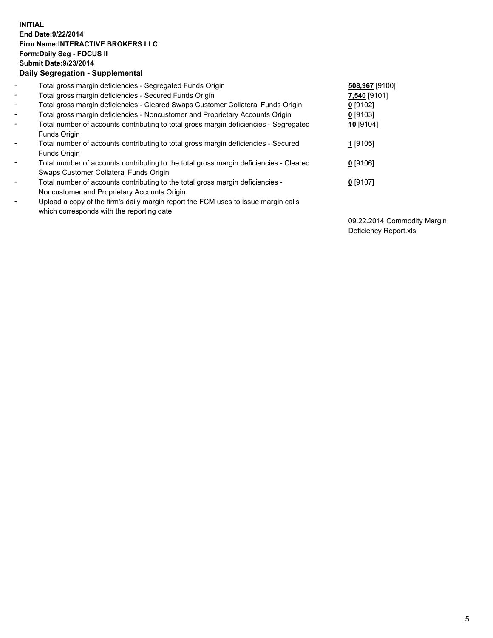## **INITIAL End Date:9/22/2014 Firm Name:INTERACTIVE BROKERS LLC Form:Daily Seg - FOCUS II Submit Date:9/23/2014 Daily Segregation - Supplemental**

| $\blacksquare$           | Total gross margin deficiencies - Segregated Funds Origin                              | 508,967 [9100] |
|--------------------------|----------------------------------------------------------------------------------------|----------------|
| $\sim$                   | Total gross margin deficiencies - Secured Funds Origin                                 | 7,540 [9101]   |
| $\blacksquare$           | Total gross margin deficiencies - Cleared Swaps Customer Collateral Funds Origin       | $0$ [9102]     |
| $\blacksquare$           | Total gross margin deficiencies - Noncustomer and Proprietary Accounts Origin          | $0$ [9103]     |
| $\blacksquare$           | Total number of accounts contributing to total gross margin deficiencies - Segregated  | 10 [9104]      |
|                          | Funds Origin                                                                           |                |
| $\blacksquare$           | Total number of accounts contributing to total gross margin deficiencies - Secured     | 1 [9105]       |
|                          | <b>Funds Origin</b>                                                                    |                |
| $\blacksquare$           | Total number of accounts contributing to the total gross margin deficiencies - Cleared | $0$ [9106]     |
|                          | Swaps Customer Collateral Funds Origin                                                 |                |
| $\overline{\phantom{a}}$ | Total number of accounts contributing to the total gross margin deficiencies -         | $0$ [9107]     |
|                          | Noncustomer and Proprietary Accounts Origin                                            |                |
| $\overline{\phantom{a}}$ | Upload a copy of the firm's daily margin report the FCM uses to issue margin calls     |                |
|                          | which corresponds with the reporting date.                                             |                |

09.22.2014 Commodity Margin Deficiency Report.xls